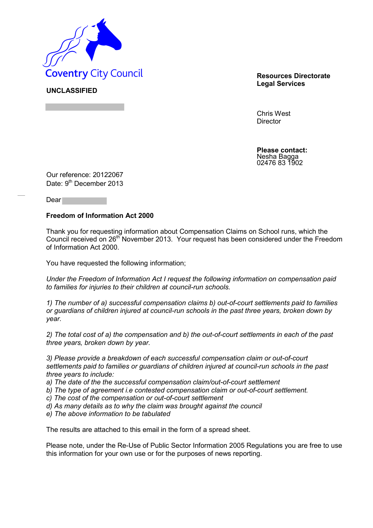

**UNCLASSIFIED**

**Legal Services**

Chris West **Director** 

**Please contact:** Nesha Bagga 02476 83 1902

Our reference: 20122067 Date: 9<sup>th</sup> December 2013

Dear

## **Freedom of Information Act 2000**

Thank you for requesting information about Compensation Claims on School runs, which the Council received on 26<sup>th</sup> November 2013. Your request has been considered under the Freedom of Information Act 2000.

You have requested the following information;

*Under the Freedom of Information Act I request the following information on compensation paid to families for injuries to their children at council-run schools.* 

*1) The number of a) successful compensation claims b) out-of-court settlements paid to families or guardians of children injured at council-run schools in the past three years, broken down by year.* 

*2) The total cost of a) the compensation and b) the out-of-court settlements in each of the past three years, broken down by year.* 

*3) Please provide a breakdown of each successful compensation claim or out-of-court settlements paid to families or guardians of children injured at council-run schools in the past three years to include:* 

*a) The date of the the successful compensation claim/out-of-court settlement* 

*b) The type of agreement i.e contested compensation claim or out-of-court settlement.* 

*c) The cost of the compensation or out-of-court settlement* 

*d) As many details as to why the claim was brought against the council* 

*e) The above information to be tabulated* 

The results are attached to this email in the form of a spread sheet.

Please note, under the Re-Use of Public Sector Information 2005 Regulations you are free to use this information for your own use or for the purposes of news reporting.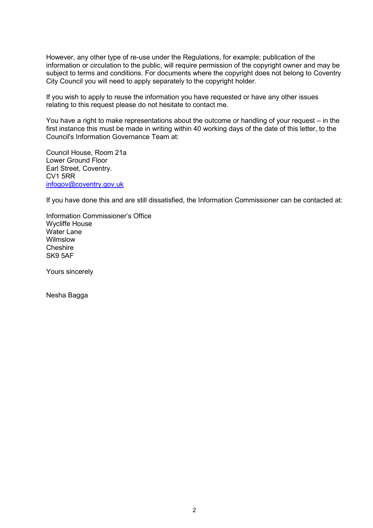However, any other type of re-use under the Regulations, for example; publication of the information or circulation to the public, will require permission of the copyright owner and may be subject to terms and conditions. For documents where the copyright does not belong to Coventry City Council you will need to apply separately to the copyright holder.

If you wish to apply to reuse the information you have requested or have any other issues relating to this request please do not hesitate to contact me.

You have a right to make representations about the outcome or handling of your request – in the first instance this must be made in writing within 40 working days of the date of this letter, to the Council's Information Governance Team at:

Council House, Room 21a Lower Ground Floor Earl Street, Coventry. CV1 5RR [infogov@coventry.gov.uk](mailto:infogov@coventry.gov.uk)

If you have done this and are still dissatisfied, the Information Commissioner can be contacted at:

Information Commissioner's Office Wycliffe House Water Lane Wilmslow **Cheshire** SK9 5AF

Yours sincerely

Nesha Bagga